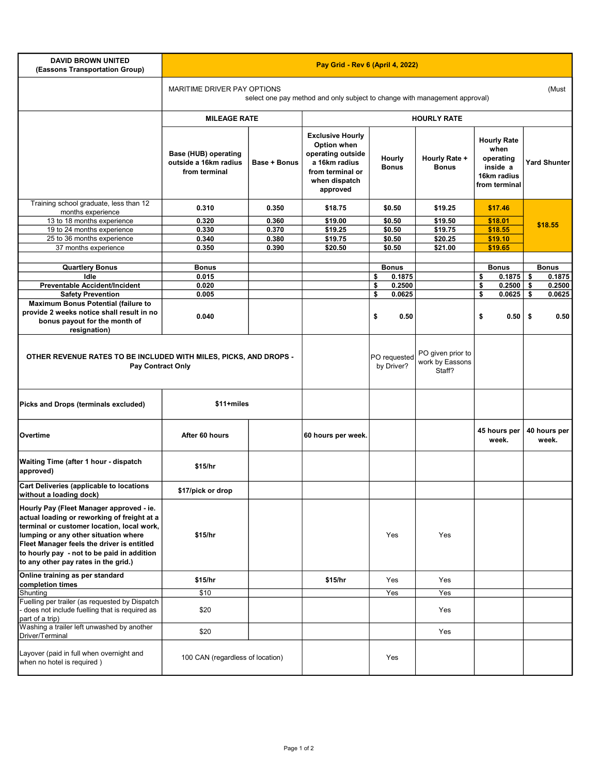| <b>DAVID BROWN UNITED</b><br>(Eassons Transportation Group)                                                                                                                                                                                                                                                       | Pay Grid - Rev 6 (April 4, 2022)                                                                                   |                     |                                                                                                                               |                                                |                               |                                                                                     |                       |  |  |  |
|-------------------------------------------------------------------------------------------------------------------------------------------------------------------------------------------------------------------------------------------------------------------------------------------------------------------|--------------------------------------------------------------------------------------------------------------------|---------------------|-------------------------------------------------------------------------------------------------------------------------------|------------------------------------------------|-------------------------------|-------------------------------------------------------------------------------------|-----------------------|--|--|--|
|                                                                                                                                                                                                                                                                                                                   | MARITIME DRIVER PAY OPTIONS<br>(Must<br>select one pay method and only subject to change with management approval) |                     |                                                                                                                               |                                                |                               |                                                                                     |                       |  |  |  |
|                                                                                                                                                                                                                                                                                                                   | <b>MILEAGE RATE</b>                                                                                                |                     | <b>HOURLY RATE</b>                                                                                                            |                                                |                               |                                                                                     |                       |  |  |  |
|                                                                                                                                                                                                                                                                                                                   | Base (HUB) operating<br>outside a 16km radius<br>from terminal                                                     | <b>Base + Bonus</b> | <b>Exclusive Hourly</b><br>Option when<br>operating outside<br>a 16km radius<br>from terminal or<br>when dispatch<br>approved | Hourly<br><b>Bonus</b>                         | Hourly Rate +<br><b>Bonus</b> | <b>Hourly Rate</b><br>when<br>operating<br>inside a<br>16km radius<br>from terminal | <b>Yard Shunter</b>   |  |  |  |
| Training school graduate, less than 12                                                                                                                                                                                                                                                                            | 0.310                                                                                                              | 0.350               | \$18.75                                                                                                                       | \$0.50                                         | \$19.25                       | \$17.46                                                                             |                       |  |  |  |
| months experience<br>13 to 18 months experience                                                                                                                                                                                                                                                                   | 0.320                                                                                                              | 0.360               | \$19.00                                                                                                                       | \$0.50                                         | \$19.50                       | \$18.01                                                                             |                       |  |  |  |
| 19 to 24 months experience                                                                                                                                                                                                                                                                                        | 0.330                                                                                                              | 0.370               | \$19.25                                                                                                                       | \$0.50                                         | \$19.75                       | \$18.55                                                                             | \$18.55               |  |  |  |
| 25 to 36 months experience                                                                                                                                                                                                                                                                                        | 0.340                                                                                                              | 0.380               | \$19.75                                                                                                                       | \$0.50                                         | \$20.25                       | \$19.10                                                                             |                       |  |  |  |
| 37 months experience                                                                                                                                                                                                                                                                                              | 0.350                                                                                                              | 0.390               | \$20.50                                                                                                                       | \$0.50                                         | \$21.00                       | \$19.65                                                                             |                       |  |  |  |
|                                                                                                                                                                                                                                                                                                                   |                                                                                                                    |                     |                                                                                                                               |                                                |                               |                                                                                     |                       |  |  |  |
| <b>Quartlery Bonus</b>                                                                                                                                                                                                                                                                                            | <b>Bonus</b>                                                                                                       |                     |                                                                                                                               | <b>Bonus</b>                                   |                               | <b>Bonus</b>                                                                        | <b>Bonus</b>          |  |  |  |
| Idle                                                                                                                                                                                                                                                                                                              | 0.015                                                                                                              |                     |                                                                                                                               | \$<br>0.1875                                   |                               | \$<br>0.1875                                                                        | \$<br>0.1875          |  |  |  |
| <b>Preventable Accident/Incident</b>                                                                                                                                                                                                                                                                              | 0.020                                                                                                              |                     |                                                                                                                               | \$<br>0.2500                                   |                               | \$<br>0.2500                                                                        | \$<br>0.2500          |  |  |  |
| <b>Safety Prevention</b><br><b>Maximum Bonus Potential (failure to</b>                                                                                                                                                                                                                                            | 0.005                                                                                                              |                     |                                                                                                                               | \$<br>0.0625                                   |                               | \$<br>0.0625                                                                        | \$<br>0.0625          |  |  |  |
| provide 2 weeks notice shall result in no<br>bonus payout for the month of<br>resignation)                                                                                                                                                                                                                        | 0.040                                                                                                              |                     |                                                                                                                               | \$<br>0.50                                     |                               | \$<br>0.50                                                                          | -\$<br>0.50           |  |  |  |
| OTHER REVENUE RATES TO BE INCLUDED WITH MILES, PICKS, AND DROPS -<br><b>Pay Contract Only</b>                                                                                                                                                                                                                     |                                                                                                                    |                     | PO requested<br>by Driver?                                                                                                    | PO given prior to<br>work by Eassons<br>Staff? |                               |                                                                                     |                       |  |  |  |
| Picks and Drops (terminals excluded)                                                                                                                                                                                                                                                                              | \$11+miles                                                                                                         |                     |                                                                                                                               |                                                |                               |                                                                                     |                       |  |  |  |
| Overtime                                                                                                                                                                                                                                                                                                          | After 60 hours                                                                                                     |                     | 60 hours per week.                                                                                                            |                                                |                               | 45 hours per<br>week.                                                               | 40 hours per<br>week. |  |  |  |
| Waiting Time (after 1 hour - dispatch<br>approved)                                                                                                                                                                                                                                                                | \$15/hr                                                                                                            |                     |                                                                                                                               |                                                |                               |                                                                                     |                       |  |  |  |
| Cart Deliveries (applicable to locations<br>without a loading dock)                                                                                                                                                                                                                                               | \$17/pick or drop                                                                                                  |                     |                                                                                                                               |                                                |                               |                                                                                     |                       |  |  |  |
| Hourly Pay (Fleet Manager approved - ie.<br>actual loading or reworking of freight at a<br>terminal or customer location, local work,<br>lumping or any other situation where<br>Fleet Manager feels the driver is entitled<br>to hourly pay - not to be paid in addition<br>to any other pay rates in the grid.) | \$15/hr                                                                                                            |                     |                                                                                                                               | Yes                                            | Yes                           |                                                                                     |                       |  |  |  |
| Online training as per standard<br>completion times                                                                                                                                                                                                                                                               | \$15/hr                                                                                                            |                     | \$15/hr                                                                                                                       | Yes                                            | Yes                           |                                                                                     |                       |  |  |  |
| Shunting                                                                                                                                                                                                                                                                                                          | \$10                                                                                                               |                     |                                                                                                                               | Yes                                            | Yes                           |                                                                                     |                       |  |  |  |
| Fuelling per trailer (as requested by Dispatch<br>- does not include fuelling that is required as<br>part of a trip)                                                                                                                                                                                              | \$20                                                                                                               |                     |                                                                                                                               |                                                | Yes                           |                                                                                     |                       |  |  |  |
| Washing a trailer left unwashed by another<br>Driver/Terminal                                                                                                                                                                                                                                                     | \$20                                                                                                               |                     |                                                                                                                               |                                                | Yes                           |                                                                                     |                       |  |  |  |
| Layover (paid in full when overnight and<br>when no hotel is required)                                                                                                                                                                                                                                            | 100 CAN (regardless of location)                                                                                   |                     |                                                                                                                               | Yes                                            |                               |                                                                                     |                       |  |  |  |